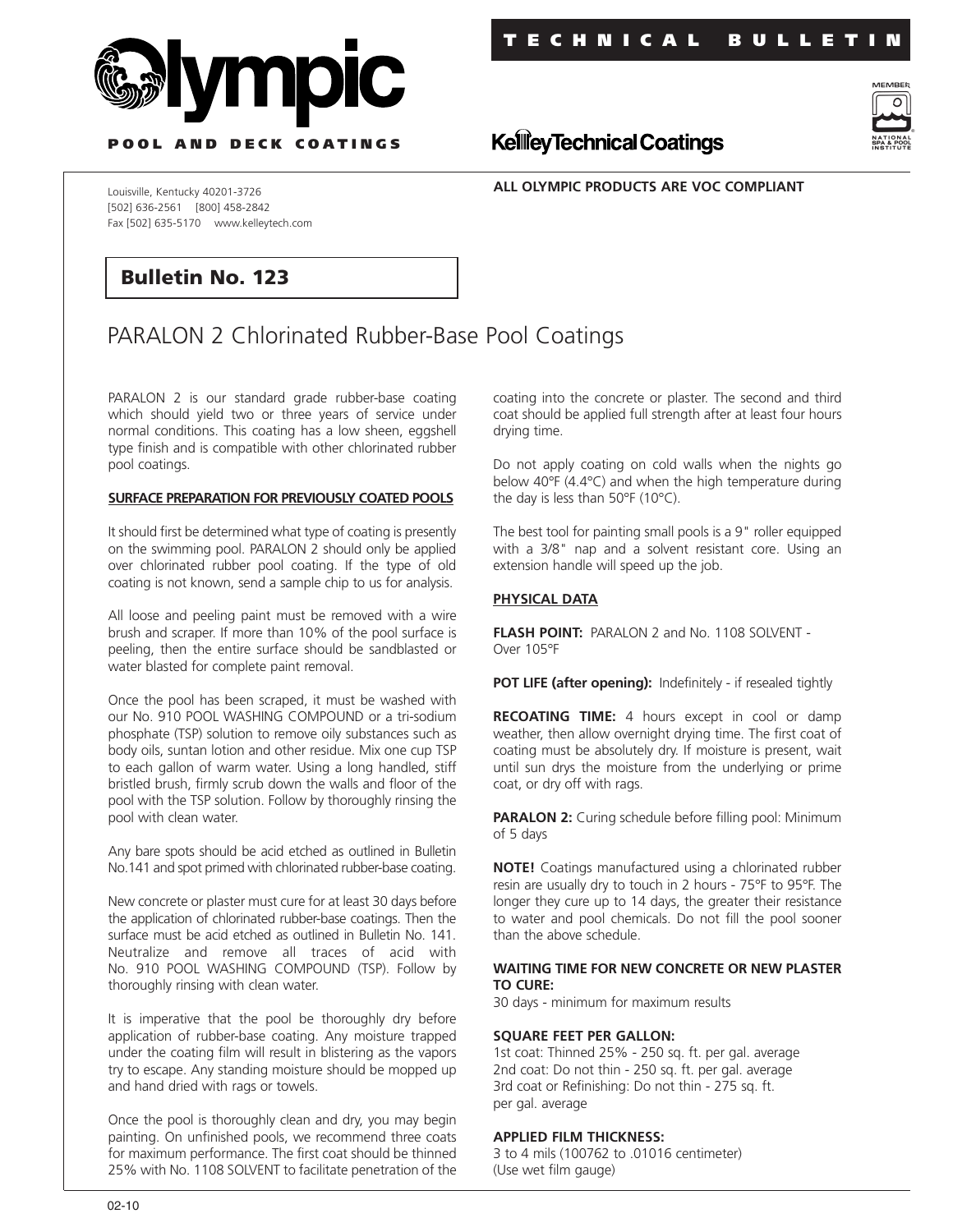



**P OOL AND DECK COATINGS**

**ALL OLYMPIC PRODUCTS ARE VOC COMPLIANT**

**KellieyTechnical Coatings** 

Louisville, Kentucky 40201-3726 [502] 636-2561 [800] 458-2842 Fax [502] 635-5170 www.kelleytech.com

# **Bulletin No. 123**

# PARALON 2 Chlorinated Rubber-Base Pool Coatings

PARALON 2 is our standard grade rubber-base coating which should yield two or three years of service under normal conditions. This coating has a low sheen, eggshell type finish and is compatible with other chlorinated rubber pool coatings.

#### **SURFACE PREPARATION FOR PREVIOUSLY COATED POOLS**

It should first be determined what type of coating is presently on the swimming pool. PARALON 2 should only be applied over chlorinated rubber pool coating. If the type of old coating is not known, send a sample chip to us for analysis.

All loose and peeling paint must be removed with a wire brush and scraper. If more than 10% of the pool surface is peeling, then the entire surface should be sandblasted or water blasted for complete paint removal.

Once the pool has been scraped, it must be washed with our No. 910 POOL WASHING COMPOUND or a tri-sodium phosphate (TSP) solution to remove oily substances such as body oils, suntan lotion and other residue. Mix one cup TSP to each gallon of warm water. Using a long handled, stiff bristled brush, firmly scrub down the walls and floor of the pool with the TSP solution. Follow by thoroughly rinsing the pool with clean water.

Any bare spots should be acid etched as outlined in Bulletin No.141 and spot primed with chlorinated rubber-base coating.

New concrete or plaster must cure for at least 30 days before the application of chlorinated rubber-base coatings. Then the surface must be acid etched as outlined in Bulletin No. 141. Neutralize and remove all traces of acid with No. 910 POOL WASHING COMPOUND (TSP). Follow by thoroughly rinsing with clean water.

It is imperative that the pool be thoroughly dry before application of rubber-base coating. Any moisture trapped under the coating film will result in blistering as the vapors try to escape. Any standing moisture should be mopped up and hand dried with rags or towels.

Once the pool is thoroughly clean and dry, you may begin painting. On unfinished pools, we recommend three coats for maximum performance. The first coat should be thinned 25% with No. 1108 SOLVENT to facilitate penetration of the

coating into the concrete or plaster. The second and third coat should be applied full strength after at least four hours drying time.

Do not apply coating on cold walls when the nights go below 40°F (4.4°C) and when the high temperature during the day is less than 50°F (10°C).

The best tool for painting small pools is a 9" roller equipped with a 3/8" nap and a solvent resistant core. Using an extension handle will speed up the job.

# **PHYSICAL DATA**

**FLASH POINT:** PARALON 2 and No. 1108 SOLVENT - Over 105°F

**POT LIFE (after opening):** Indefinitely - if resealed tightly

**RECOATING TIME:** 4 hours except in cool or damp weather, then allow overnight drying time. The first coat of coating must be absolutely dry. If moisture is present, wait until sun drys the moisture from the underlying or prime coat, or dry off with rags.

**PARALON 2:** Curing schedule before filling pool: Minimum of 5 days

**NOTE!** Coatings manufactured using a chlorinated rubber resin are usually dry to touch in 2 hours - 75°F to 95°F. The longer they cure up to 14 days, the greater their resistance to water and pool chemicals. Do not fill the pool sooner than the above schedule.

#### **WAITING TIME FOR NEW CONCRETE OR NEW PLASTER TO CURE:**

30 days - minimum for maximum results

#### **SQUARE FEET PER GALLON:**

1st coat: Thinned 25% - 250 sq. ft. per gal. average 2nd coat: Do not thin - 250 sq. ft. per gal. average 3rd coat or Refinishing: Do not thin - 275 sq. ft. per gal. average

## **APPLIED FILM THICKNESS:**

3 to 4 mils (100762 to .01016 centimeter) (Use wet film gauge)